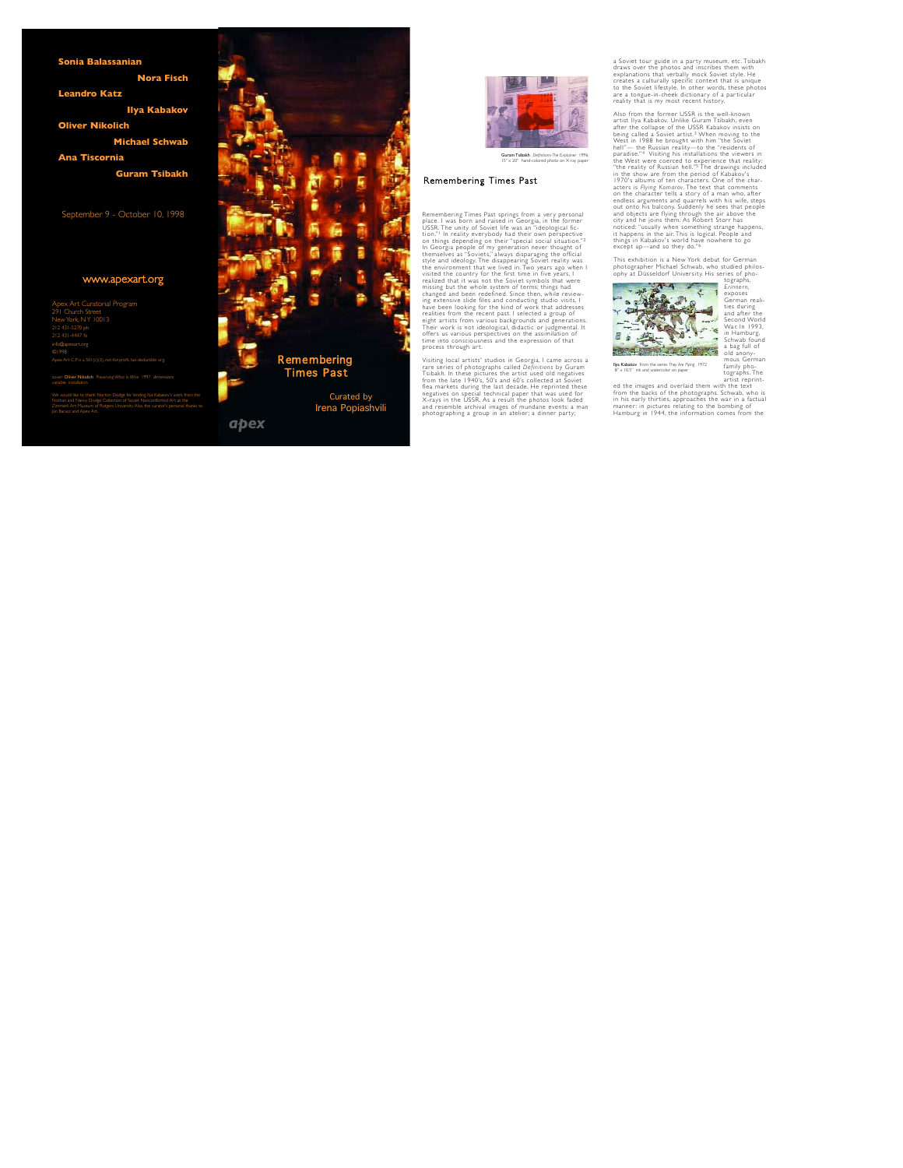**Sonia Balassanian**

**Nora Fisch**

**Leandro Katz**

**Ilya Kabakov**

**Oliver Nikolich**

**Michael Schwab**

### **Ana Tiscornia**

**Guram Tsibakh**

## September 9 - October 10, 1998

# www.apexart.org

Apex Art Curatorial Program 291 Church Street New York, NY 10013 info@apexart.org Apex Art C.P. is a 501 (c)(3), not-for-profit, tax-deductible org.

cover: Oliver Nikolich *Preserving What Is Mine* 1997 dimensions variable installation

We would like to thank Norton Dodge for lending llya Kabakov's work from the<br>Norton and Nancy Dodge Collection of Soviet Nonconformist Art at the<br>Zimmerli Art Museum of Rutgers University. Also, the curator's personal than Jan Baracz and Apex Art.



Irena Popiashvili



Guram Tsibakh *Definitions-The Explainer* 1996 15" x 20" hand-colored photo on X-ray paper

## Remembering Times Past

Remembering Times Past springs from a very personal place. I was born and raised in Georgia, in the former USSR The unity of Soviet life was an "ideological fiction"! In reality everybody had their own perspective on things depending on their "special social situation."2 In Georgia people of my generation never thought of the mselves as "Soviets" always disparaging the official style and ideology. The disappearing Soviet reality was the environment that we lived in. Two years ago when I visited the country for the first time in five years. I realized that it was not the Soviet symbols that were missing but the whole system of terms; things had changed and been redefined. Since then, while review-

ing extensive slide files and conducting studio visits, I have been looking for the kind of work that addresses realities from the recent past. I selected a group of eight artists from various backgrounds and generations. Their work is not ideological, didactic or judgmental. It offers us various perspectives on the assimilation of time into consciousness and the expression of that process through art.

Visiting local artists' studios in Georgia, I came across a rare series of photographs called *Definitions* by Guram Tsibakh. In these pictures the artist used old negatives from the late 1940's, 50's and 60's collected at Soviet flea markets during the last decade. He reprinted these negatives on special technical paper that was used for X - rays in the USSR. As a result the photos look faded and resemble archival images of mundane events: a man photographing a group in an atelier; a dinner party;

a Soviet tour guide in a party museum etc. Tsibakh draws over the photos and inscribes them with explanations that verbally mock Soviet style. He creates a culturally specific context that is unique to the Soviet lifestyle. In other words, these photos are a tongue-in-cheek dictionary of a particular reality that is my most recent histor y.

Also from the former USSR is the well-known artist Ilya Kabakov. Unlike Guram Tsibakh, even after the collapse of the USSR Kabakov insists on being called a Soviet artist.<sup>3</sup> When moving to the West in 1988 he brought with him "the Soviet hell"— the Russian reality—to the "residents of paradise."<sup>4</sup> Visiting his installations the viewers in the West were coerced to experience that reality: "the reality of Russian hell."<sup>5</sup> The drawings included in the show are from the period of Kabakov's 1970's albums of ten characters. One of the characters is *Flying Komarov*. The text that comments on the character tells a story of a man who, after endless arguments and quarrels with his wife, steps out onto his balcony. Suddenly he sees that people and objects are flying through the air above the city and he joins them. As Robert Storr has noticed: "usually when something strange happens, it happens in the air. This is logical. People and things in Kabakov's wo rld have nowhere to go except up—and so they do."6

This exhibition is a New York debut for German photographer Michael Schwab, who studied philosophy at Düsseldorf University. His series of photographs.



*E ri n n e r n*, exposes German realities during and after the Second World War. In 1993. in Hamburg, Schwab found a bag full of old anonymous German family photographs The artist reprint-

Ilya Kabakov from the series *They Are Flying* 1972 8" x 10.5" ink and watercolor on paper

ed the images and overlaid them with the text from the backs of the photographs. Schwab, who is in his early thirties, approaches the war in a factual manner: in pictures relating to the bombing of Hamburg in 1944, the information comes from the

*apex*